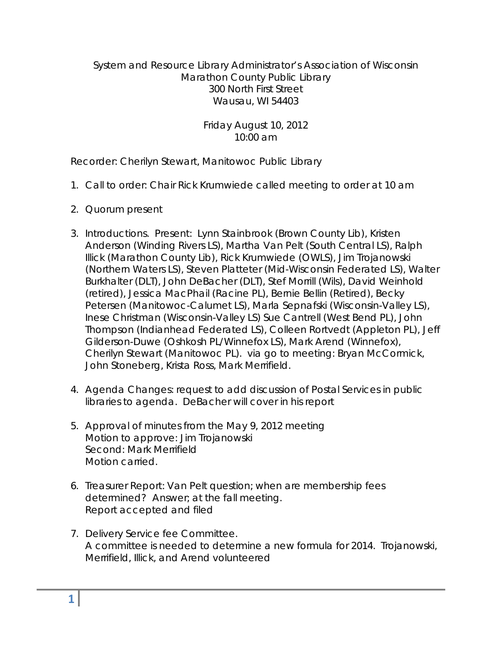# System and Resource Library Administrator's Association of Wisconsin Marathon County Public Library 300 North First Street Wausau, WI 54403

Friday August 10, 2012 10:00 am

Recorder: Cherilyn Stewart, Manitowoc Public Library

- 1. Call to order: Chair Rick Krumwiede called meeting to order at 10 am
- 2. Quorum present
- 3. Introductions. Present: Lynn Stainbrook (Brown County Lib), Kristen Anderson (Winding Rivers LS), Martha Van Pelt (South Central LS), Ralph Illick (Marathon County Lib), Rick Krumwiede (OWLS), Jim Trojanowski (Northern Waters LS), Steven Platteter (Mid-Wisconsin Federated LS), Walter Burkhalter (DLT), John DeBacher (DLT), Stef Morrill (Wils), David Weinhold (retired), Jessica MacPhail (Racine PL), Bernie Bellin (Retired), Becky Petersen (Manitowoc-Calumet LS), Marla Sepnafski (Wisconsin-Valley LS), Inese Christman (Wisconsin-Valley LS) Sue Cantrell (West Bend PL), John Thompson (Indianhead Federated LS), Colleen Rortvedt (Appleton PL), Jeff Gilderson-Duwe (Oshkosh PL/Winnefox LS), Mark Arend (Winnefox), Cherilyn Stewart (Manitowoc PL). via go to meeting: Bryan McCormick, John Stoneberg, Krista Ross, Mark Merrifield.
- 4. Agenda Changes: request to add discussion of Postal Services in public libraries to agenda. DeBacher will cover in his report
- 5. Approval of minutes from the May 9, 2012 meeting Motion to approve: Jim Trojanowski Second: Mark Merrifield Motion carried.
- 6. Treasurer Report: Van Pelt question; when are membership fees determined? Answer; at the fall meeting. Report accepted and filed
- 7. Delivery Service fee Committee. A committee is needed to determine a new formula for 2014. Trojanowski, Merrifield, Illick, and Arend volunteered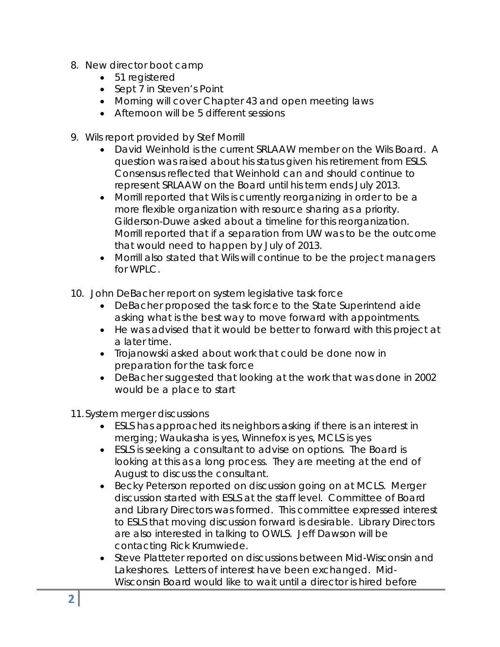- 8. New director boot camp
	- 51 registered
	- Sept 7 in Steven's Point
	- Morning will cover Chapter 43 and open meeting laws
	- Afternoon will be 5 different sessions
- 9. Wils report provided by Stef Morrill
	- David Weinhold is the current SRLAAW member on the Wils Board. A question was raised about his status given his retirement from ESLS. Consensus reflected that Weinhold can and should continue to represent SRLAAW on the Board until his term ends July 2013.
	- Morrill reported that Wils is currently reorganizing in order to be a more flexible organization with resource sharing as a priority. Gilderson-Duwe asked about a timeline for this reorganization. Morrill reported that if a separation from UW was to be the outcome that would need to happen by July of 2013.
	- Morrill also stated that Wils will continue to be the project managers for WPLC.
- 10. John DeBacher report on system legislative task force
	- DeBacher proposed the task force to the State Superintend aide asking what is the best way to move forward with appointments.
	- He was advised that it would be better to forward with this project at a later time.
	- Trojanowski asked about work that could be done now in preparation for the task force
	- DeBacher suggested that looking at the work that was done in 2002 would be a place to start

11.System merger discussions

- ESLS has approached its neighbors asking if there is an interest in merging; Waukasha is yes, Winnefox is yes, MCLS is yes
- ESLS is seeking a consultant to advise on options. The Board is looking at this as a long process. They are meeting at the end of August to discuss the consultant.
- Becky Peterson reported on discussion going on at MCLS. Merger discussion started with ESLS at the staff level. Committee of Board and Library Directors was formed. This committee expressed interest to ESLS that moving discussion forward is desirable. Library Directors are also interested in talking to OWLS. Jeff Dawson will be contacting Rick Krumwiede.
- Steve Platteter reported on discussions between Mid-Wisconsin and Lakeshores. Letters of interest have been exchanged. Mid-Wisconsin Board would like to wait until a director is hired before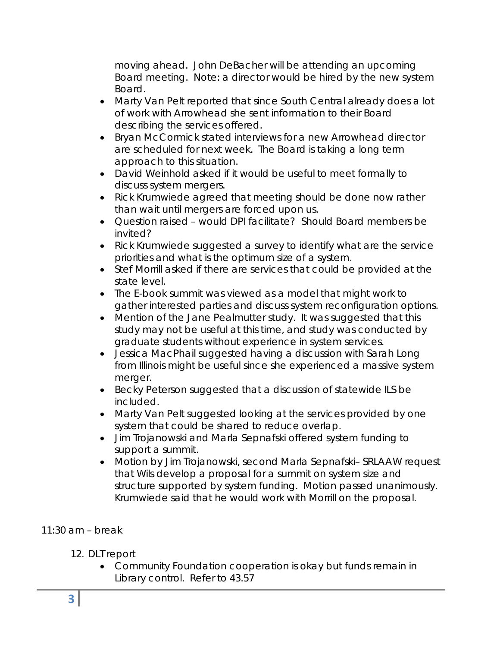moving ahead. John DeBacher will be attending an upcoming Board meeting. Note: a director would be hired by the new system Board.

- Marty Van Pelt reported that since South Central already does a lot of work with Arrowhead she sent information to their Board describing the services offered.
- Bryan McCormick stated interviews for a new Arrowhead director are scheduled for next week. The Board is taking a long term approach to this situation.
- David Weinhold asked if it would be useful to meet formally to discuss system mergers.
- Rick Krumwiede agreed that meeting should be done now rather than wait until mergers are forced upon us.
- Question raised would DPI facilitate? Should Board members be invited?
- Rick Krumwiede suggested a survey to identify what are the service priorities and what is the optimum size of a system.
- Stef Morrill asked if there are services that could be provided at the state level.
- The E-book summit was viewed as a model that might work to gather interested parties and discuss system reconfiguration options.
- Mention of the Jane Pealmutter study. It was suggested that this study may not be useful at this time, and study was conducted by graduate students without experience in system services.
- Jessica MacPhail suggested having a discussion with Sarah Long from Illinois might be useful since she experienced a massive system merger.
- Becky Peterson suggested that a discussion of statewide ILS be included.
- Marty Van Pelt suggested looking at the services provided by one system that could be shared to reduce overlap.
- Jim Trojanowski and Marla Sepnafski offered system funding to support a summit.
- Motion by Jim Trojanowski, second Marla Sepnafski– SRLAAW request that Wils develop a proposal for a summit on system size and structure supported by system funding. Motion passed unanimously. Krumwiede said that he would work with Morrill on the proposal.

# 11:30 am – break

# 12. DLT report

 Community Foundation cooperation is okay but funds remain in Library control. Refer to 43.57